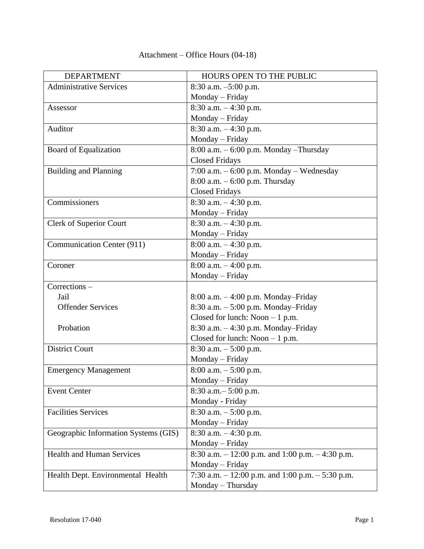| <b>DEPARTMENT</b>                    | HOURS OPEN TO THE PUBLIC                           |
|--------------------------------------|----------------------------------------------------|
| <b>Administrative Services</b>       | $8:30$ a.m. $-5:00$ p.m.                           |
|                                      | Monday – Friday                                    |
| Assessor                             | $8:30$ a.m. $-4:30$ p.m.                           |
|                                      | Monday - Friday                                    |
| Auditor                              | $8:30$ a.m. $-4:30$ p.m.                           |
|                                      | Monday - Friday                                    |
| <b>Board of Equalization</b>         | $8:00$ a.m. $-6:00$ p.m. Monday $-Thursday$        |
|                                      | <b>Closed Fridays</b>                              |
| <b>Building and Planning</b>         | $7:00$ a.m. $-6:00$ p.m. Monday - Wednesday        |
|                                      | 8:00 a.m. $-6:00$ p.m. Thursday                    |
|                                      | <b>Closed Fridays</b>                              |
| Commissioners                        | 8:30 a.m. $-4:30$ p.m.                             |
|                                      | Monday - Friday                                    |
| Clerk of Superior Court              | 8:30 a.m. - 4:30 p.m.                              |
|                                      | Monday - Friday                                    |
| Communication Center (911)           | 8:00 a.m. - 4:30 p.m.                              |
|                                      | Monday - Friday                                    |
| Coroner                              | $8:00$ a.m. $-4:00$ p.m.                           |
|                                      | Monday - Friday                                    |
| Corrections-                         |                                                    |
| Jail                                 | $8:00$ a.m. $-4:00$ p.m. Monday-Friday             |
| <b>Offender Services</b>             | 8:30 a.m. - 5:00 p.m. Monday-Friday                |
|                                      | Closed for lunch: Noon $-1$ p.m.                   |
| Probation                            | 8:30 a.m. - 4:30 p.m. Monday-Friday                |
|                                      | Closed for lunch: Noon $-1$ p.m.                   |
| <b>District Court</b>                | 8:30 a.m. $-5:00$ p.m.                             |
|                                      | Monday - Friday                                    |
| <b>Emergency Management</b>          | $8:00$ a.m. $-5:00$ p.m.                           |
|                                      | Monday – Friday                                    |
| <b>Event Center</b>                  | $8:30$ a.m. $-5:00$ p.m.                           |
|                                      | Monday - Friday                                    |
| <b>Facilities Services</b>           | $8:30$ a.m. $-5:00$ p.m.                           |
|                                      | Monday - Friday                                    |
| Geographic Information Systems (GIS) | $8:30$ a.m. $-4:30$ p.m.                           |
|                                      | Monday - Friday                                    |
| <b>Health and Human Services</b>     | 8:30 a.m. $-12:00$ p.m. and 1:00 p.m. $-4:30$ p.m. |
|                                      | Monday - Friday                                    |
| Health Dept. Environmental Health    | 7:30 a.m. $-12:00$ p.m. and 1:00 p.m. $-5:30$ p.m. |
|                                      |                                                    |

## Attachment – Office Hours (04-18)